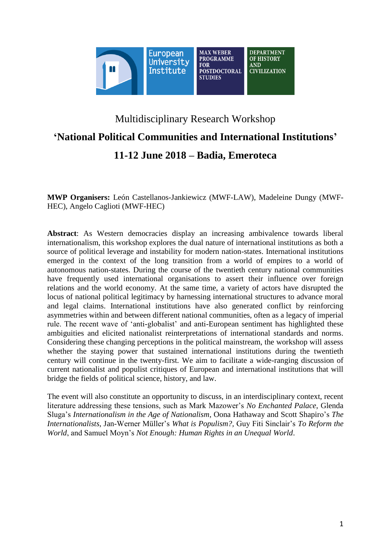

# Multidisciplinary Research Workshop **'National Political Communities and International Institutions' 11-12 June 2018 – Badia, Emeroteca**

**MWP Organisers:** León Castellanos-Jankiewicz (MWF-LAW), Madeleine Dungy (MWF-HEC), Angelo Caglioti (MWF-HEC)

**Abstract**: As Western democracies display an increasing ambivalence towards liberal internationalism, this workshop explores the dual nature of international institutions as both a source of political leverage and instability for modern nation-states. International institutions emerged in the context of the long transition from a world of empires to a world of autonomous nation-states. During the course of the twentieth century national communities have frequently used international organisations to assert their influence over foreign relations and the world economy. At the same time, a variety of actors have disrupted the locus of national political legitimacy by harnessing international structures to advance moral and legal claims. International institutions have also generated conflict by reinforcing asymmetries within and between different national communities, often as a legacy of imperial rule. The recent wave of 'anti-globalist' and anti-European sentiment has highlighted these ambiguities and elicited nationalist reinterpretations of international standards and norms. Considering these changing perceptions in the political mainstream, the workshop will assess whether the staying power that sustained international institutions during the twentieth century will continue in the twenty-first. We aim to facilitate a wide-ranging discussion of current nationalist and populist critiques of European and international institutions that will bridge the fields of political science, history, and law.

The event will also constitute an opportunity to discuss, in an interdisciplinary context, recent literature addressing these tensions, such as Mark Mazower's *No Enchanted Palace*, Glenda Sluga's *Internationalism in the Age of Nationalism*, Oona Hathaway and Scott Shapiro's *The Internationalists*, Jan-Werner Müller's *What is Populism?,* Guy Fiti Sinclair's *To Reform the World*, and Samuel Moyn's *Not Enough: Human Rights in an Unequal World*.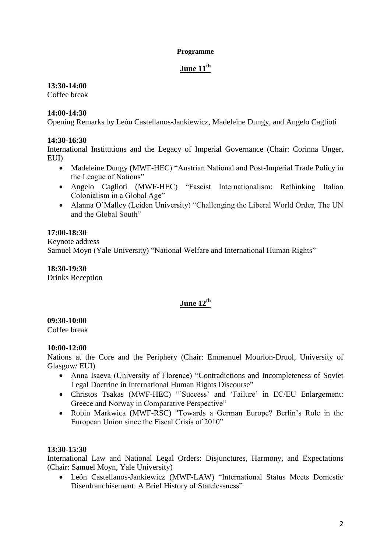### **Programme**

# **June 11th**

# **13:30-14:00**

Coffee break

# **14:00-14:30**

Opening Remarks by León Castellanos-Jankiewicz, Madeleine Dungy, and Angelo Caglioti

# **14:30-16:30**

International Institutions and the Legacy of Imperial Governance (Chair: Corinna Unger, EUI)

- Madeleine Dungy (MWF-HEC) "Austrian National and Post-Imperial Trade Policy in the League of Nations"
- Angelo Caglioti (MWF-HEC) "Fascist Internationalism: Rethinking Italian Colonialism in a Global Age"
- Alanna O'Malley (Leiden University) "Challenging the Liberal World Order, The UN and the Global South"

# **17:00-18:30**

Keynote address Samuel Moyn (Yale University) "National Welfare and International Human Rights"

**18:30-19:30** Drinks Reception

# **June 12th**

## **09:30-10:00**

Coffee break

## **10:00-12:00**

Nations at the Core and the Periphery (Chair: Emmanuel Mourlon-Druol, University of Glasgow/ EUI)

- Anna Isaeva (University of Florence) "Contradictions and Incompleteness of Soviet Legal Doctrine in International Human Rights Discourse"
- Christos Tsakas (MWF-HEC) "'Success' and 'Failure' in EC/EU Enlargement: Greece and Norway in Comparative Perspective"
- Robin Markwica (MWF-RSC) "Towards a German Europe? Berlin's Role in the European Union since the Fiscal Crisis of 2010"

## **13:30-15:30**

International Law and National Legal Orders: Disjunctures, Harmony, and Expectations (Chair: Samuel Moyn, Yale University)

 León Castellanos-Jankiewicz (MWF-LAW) "International Status Meets Domestic Disenfranchisement: A Brief History of Statelessness"